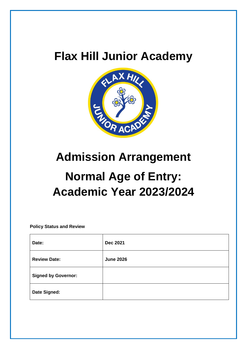## **Flax Hill Junior Academy**



### **Admission Arrangement**

# **Normal Age of Entry: Academic Year 2023/2024**

**Policy Status and Review**

| Date:                      | <b>Dec 2021</b>  |
|----------------------------|------------------|
| <b>Review Date:</b>        | <b>June 2026</b> |
| <b>Signed by Governor:</b> |                  |
| Date Signed:               |                  |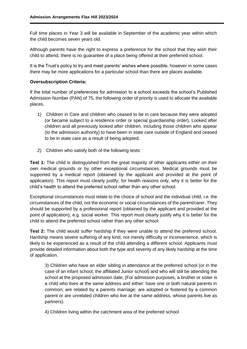Full time places in Year 3 will be available in September of the academic year within which the child becomes seven years old.

Although parents have the right to express a preference for the school that they wish their child to attend, there is no guarantee of a place being offered at their preferred school.

It is the Trust's policy to try and meet parents' wishes where possible, however in some cases there may be more applications for a particular school than there are places available.

#### **Oversubscription Criteria:**

If the total number of preferences for admission to a school exceeds the school's Published Admission Number (PAN) of 75, the following order of priority is used to allocate the available places.

- 1) Children in Care and children who ceased to be in care because they were adopted (or became subject to a residence order or special guardianship order). Looked after children and all previously looked after children, including those children who appear (to the admission authority) to have been in state care outside of England and ceased to be in state care as a result of being adopted.
- 2) Children who satisfy both of the following tests:

**Test 1:** The child is distinguished from the great majority of other applicants either on their own medical grounds or by other exceptional circumstances. Medical grounds must be supported by a medical report (obtained by the applicant and provided at the point of application). This report must clearly justify, for health reasons only, why it is better for the child's health to attend the preferred school rather than any other school.

Exceptional circumstances must relate to the choice of school and the individual child, i.e. the circumstances of the child, not the economic or social circumstances of the parent/carer. They should be supported by a professional report (obtained by the applicant and provided at the point of application), e.g. social worker. This report must clearly justify why it is better for the child to attend the preferred school rather than any other school.

**Test 2:** The child would suffer hardship if they were unable to attend the preferred school. Hardship means severe suffering of any kind, not merely difficulty or inconvenience, which is likely to be experienced as a result of the child attending a different school. Applicants must provide detailed information about both the type and severity of any likely hardship at the time of application.

3) Children who have an elder sibling in attendance at the preferred school (or in the case of an infant school, the affiliated Junior school) and who will still be attending the school at the proposed admission date; (For admission purposes, a brother or sister is a child who lives at the same address and either: have one or both natural parents in common; are related by a parents marriage; are adopted or fostered by a common parent or are unrelated children who live at the same address, whose parents live as partners).

4) Children living within the catchment area of the preferred school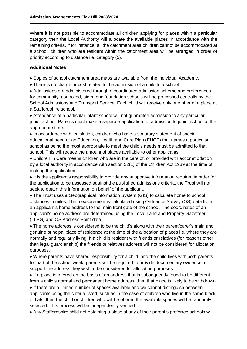Where it is not possible to accommodate all children applying for places within a particular category then the Local Authority will allocate the available places in accordance with the remaining criteria. If for instance, all the catchment area children cannot be accommodated at a school, children who are resident within the catchment area will be arranged in order of priority according to distance i.e. category (5).

#### **Additional Notes**

Copies of school catchment area maps are available from the individual Academy.

• There is no charge or cost related to the admission of a child to a school.

 Admissions are administered through a coordinated admission scheme and preferences for community, controlled, aided and foundation schools will be processed centrally by the School Admissions and Transport Service. Each child will receive only one offer of a place at a Staffordshire school.

 Attendance at a particular infant school will not guarantee admission to any particular junior school. Parents must make a separate application for admission to junior school at the appropriate time.

 In accordance with legislation, children who have a statutory statement of special educational need or an Education, Health and Care Plan (EHCP) that names a particular school as being the most appropriate to meet the child's needs must be admitted to that school. This will reduce the amount of places available to other applicants.

 Children in Care means children who are in the care of, or provided with accommodation by a local authority in accordance with section 22(1) of the Children Act 1989 at the time of making the application.

• It is the applicant's responsibility to provide any supportive information required in order for the application to be assessed against the published admissions criteria, the Trust will not seek to obtain this information on behalf of the applicant.

 The Trust uses a Geographical Information System (GIS) to calculate home to school distances in miles. The measurement is calculated using Ordnance Survey (OS) data from an applicant's home address to the main front gate of the school. The coordinates of an applicant's home address are determined using the Local Land and Property Gazetteer (LLPG) and OS Address Point data.

 The home address is considered to be the child's along with their parent/carer's main and genuine principal place of residence at the time of the allocation of places i.e. where they are normally and regularly living. If a child is resident with friends or relatives (for reasons other than legal guardianship) the friends or relatives address will not be considered for allocation purposes.

 Where parents have shared responsibility for a child, and the child lives with both parents for part of the school week, parents will be required to provide documentary evidence to support the address they wish to be considered for allocation purposes.

 If a place is offered on the basis of an address that is subsequently found to be different from a child's normal and permanent home address, then that place is likely to be withdrawn.

 If there are a limited number of spaces available and we cannot distinguish between applicants using the criteria listed, such as in the case of children who live in the same block of flats, then the child or children who will be offered the available spaces will be randomly selected. This process will be independently verified.

Any Staffordshire child not obtaining a place at any of their parent's preferred schools will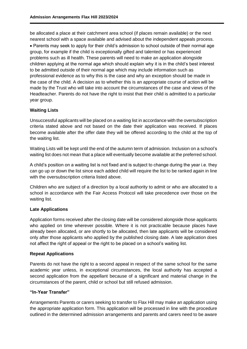be allocated a place at their catchment area school (if places remain available) or the next nearest school with a space available and advised about the independent appeals process. Parents may seek to apply for their child's admission to school outside of their normal age group, for example if the child is exceptionally gifted and talented or has experienced problems such as ill health. These parents will need to make an application alongside children applying at the normal age which should explain why it is in the child's best interest to be admitted outside of their normal age which may include information such as professional evidence as to why this is the case and why an exception should be made in the case of the child. A decision as to whether this is an appropriate course of action will be made by the Trust who will take into account the circumstances of the case and views of the Headteacher. Parents do not have the right to insist that their child is admitted to a particular year group.

#### **Waiting Lists**

Unsuccessful applicants will be placed on a waiting list in accordance with the oversubscription criteria stated above and not based on the date their application was received. If places become available after the offer date they will be offered according to the child at the top of the waiting list.

Waiting Lists will be kept until the end of the autumn term of admission. Inclusion on a school's waiting list does not mean that a place will eventually become available at the preferred school.

A child's position on a waiting list is not fixed and is subject to change during the year i.e. they can go up or down the list since each added child will require the list to be ranked again in line with the oversubscription criteria listed above.

Children who are subject of a direction by a local authority to admit or who are allocated to a school in accordance with the Fair Access Protocol will take precedence over those on the waiting list.

#### **Late Applications**

Application forms received after the closing date will be considered alongside those applicants who applied on time wherever possible. Where it is not practicable because places have already been allocated, or are shortly to be allocated, then late applicants will be considered only after those applicants who applied by the published closing date. A late application does not affect the right of appeal or the right to be placed on a school's waiting list.

#### **Repeat Applications**

Parents do not have the right to a second appeal in respect of the same school for the same academic year unless, in exceptional circumstances, the local authority has accepted a second application from the appellant because of a significant and material change in the circumstances of the parent, child or school but still refused admission.

#### **"In-Year Transfer"**

Arrangements Parents or carers seeking to transfer to Flax Hill may make an application using the appropriate application form. This application will be processed in line with the procedure outlined in the determined admission arrangements and parents and carers need to be aware